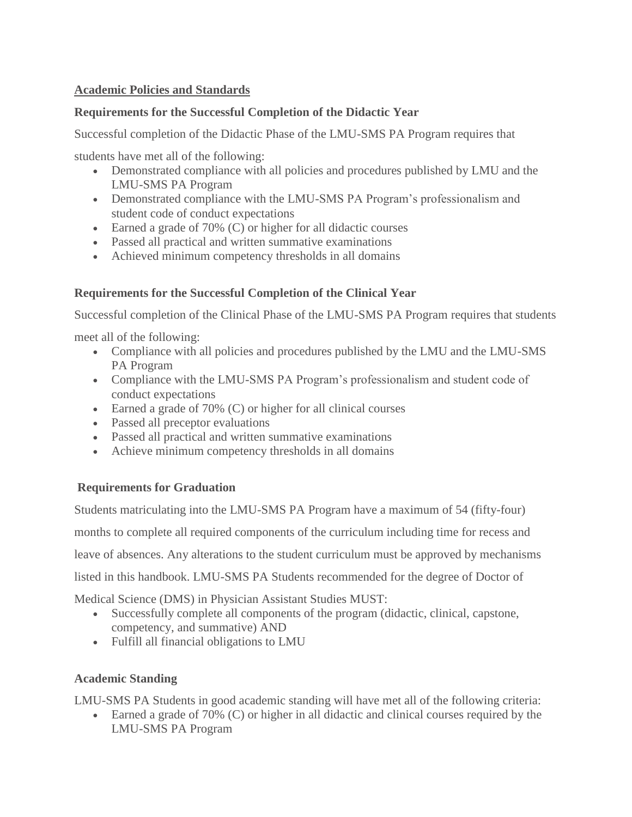## **Academic Policies and Standards**

## **Requirements for the Successful Completion of the Didactic Year**

Successful completion of the Didactic Phase of the LMU-SMS PA Program requires that

students have met all of the following:

- Demonstrated compliance with all policies and procedures published by LMU and the LMU-SMS PA Program
- Demonstrated compliance with the LMU-SMS PA Program's professionalism and student code of conduct expectations
- Earned a grade of  $70\%$  (C) or higher for all didactic courses
- Passed all practical and written summative examinations
- Achieved minimum competency thresholds in all domains

## **Requirements for the Successful Completion of the Clinical Year**

Successful completion of the Clinical Phase of the LMU-SMS PA Program requires that students

meet all of the following:

- Compliance with all policies and procedures published by the LMU and the LMU-SMS PA Program
- Compliance with the LMU-SMS PA Program's professionalism and student code of conduct expectations
- Earned a grade of 70% (C) or higher for all clinical courses
- Passed all preceptor evaluations
- Passed all practical and written summative examinations
- Achieve minimum competency thresholds in all domains

# **Requirements for Graduation**

Students matriculating into the LMU-SMS PA Program have a maximum of 54 (fifty-four)

months to complete all required components of the curriculum including time for recess and

leave of absences. Any alterations to the student curriculum must be approved by mechanisms

listed in this handbook. LMU-SMS PA Students recommended for the degree of Doctor of

Medical Science (DMS) in Physician Assistant Studies MUST:

- Successfully complete all components of the program (didactic, clinical, capstone, competency, and summative) AND
- Fulfill all financial obligations to LMU

# **Academic Standing**

LMU-SMS PA Students in good academic standing will have met all of the following criteria:

 Earned a grade of 70% (C) or higher in all didactic and clinical courses required by the LMU-SMS PA Program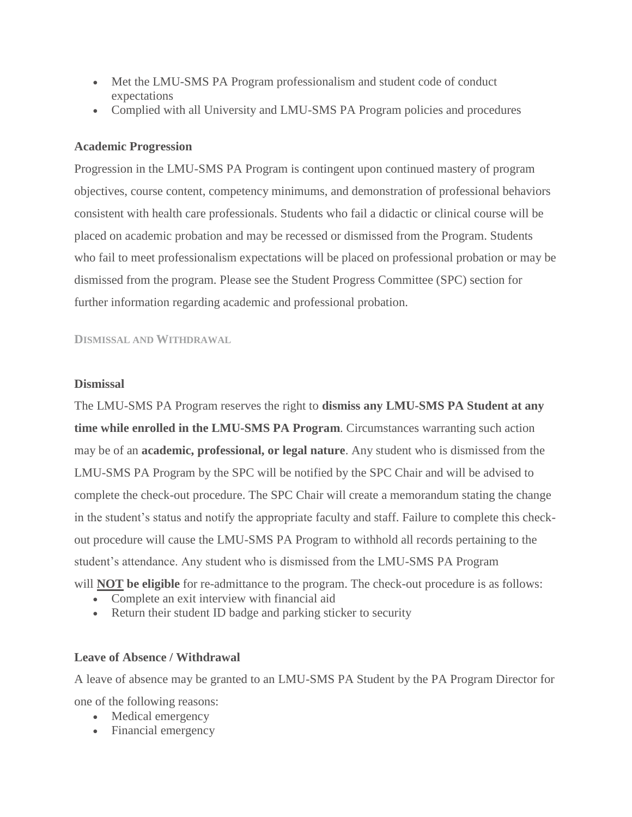- Met the LMU-SMS PA Program professionalism and student code of conduct expectations
- Complied with all University and LMU-SMS PA Program policies and procedures

## **Academic Progression**

Progression in the LMU-SMS PA Program is contingent upon continued mastery of program objectives, course content, competency minimums, and demonstration of professional behaviors consistent with health care professionals. Students who fail a didactic or clinical course will be placed on academic probation and may be recessed or dismissed from the Program. Students who fail to meet professionalism expectations will be placed on professional probation or may be dismissed from the program. Please see the Student Progress Committee (SPC) section for further information regarding academic and professional probation.

**DISMISSAL AND WITHDRAWAL**

## **Dismissal**

The LMU-SMS PA Program reserves the right to **dismiss any LMU-SMS PA Student at any time while enrolled in the LMU-SMS PA Program**. Circumstances warranting such action may be of an **academic, professional, or legal nature**. Any student who is dismissed from the LMU-SMS PA Program by the SPC will be notified by the SPC Chair and will be advised to complete the check-out procedure. The SPC Chair will create a memorandum stating the change in the student's status and notify the appropriate faculty and staff. Failure to complete this checkout procedure will cause the LMU-SMS PA Program to withhold all records pertaining to the student's attendance. Any student who is dismissed from the LMU-SMS PA Program

will **NOT be eligible** for re-admittance to the program. The check-out procedure is as follows:

- Complete an exit interview with financial aid
- Return their student ID badge and parking sticker to security

# **Leave of Absence / Withdrawal**

A leave of absence may be granted to an LMU-SMS PA Student by the PA Program Director for one of the following reasons:

- Medical emergency
- Financial emergency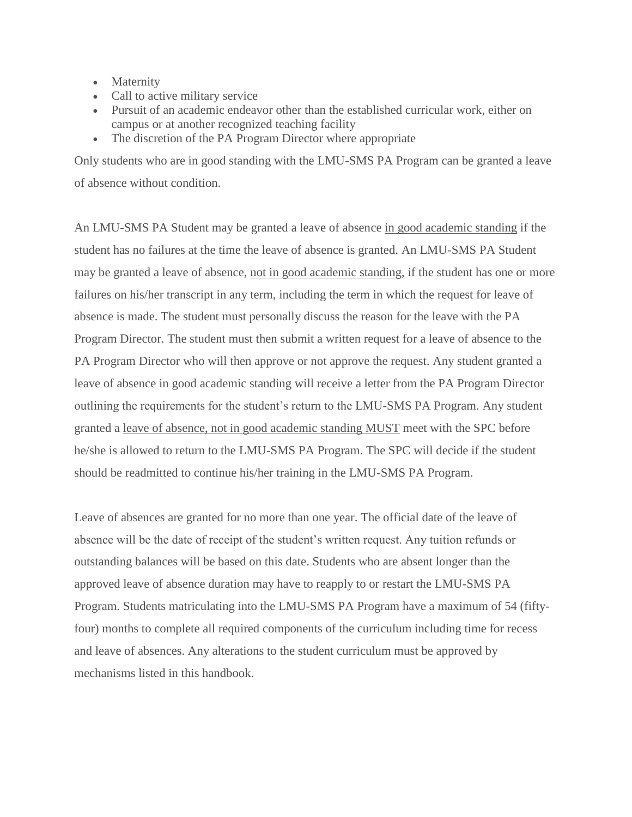- Maternity
- Call to active military service
- Pursuit of an academic endeavor other than the established curricular work, either on campus or at another recognized teaching facility
- The discretion of the PA Program Director where appropriate

Only students who are in good standing with the LMU-SMS PA Program can be granted a leave of absence without condition.

An LMU-SMS PA Student may be granted a leave of absence in good academic standing if the student has no failures at the time the leave of absence is granted. An LMU-SMS PA Student may be granted a leave of absence, not in good academic standing, if the student has one or more failures on his/her transcript in any term, including the term in which the request for leave of absence is made. The student must personally discuss the reason for the leave with the PA Program Director. The student must then submit a written request for a leave of absence to the PA Program Director who will then approve or not approve the request. Any student granted a leave of absence in good academic standing will receive a letter from the PA Program Director outlining the requirements for the student's return to the LMU-SMS PA Program. Any student granted a leave of absence, not in good academic standing MUST meet with the SPC before he/she is allowed to return to the LMU-SMS PA Program. The SPC will decide if the student should be readmitted to continue his/her training in the LMU-SMS PA Program.

Leave of absences are granted for no more than one year. The official date of the leave of absence will be the date of receipt of the student's written request. Any tuition refunds or outstanding balances will be based on this date. Students who are absent longer than the approved leave of absence duration may have to reapply to or restart the LMU-SMS PA Program. Students matriculating into the LMU-SMS PA Program have a maximum of 54 (fiftyfour) months to complete all required components of the curriculum including time for recess and leave of absences. Any alterations to the student curriculum must be approved by mechanisms listed in this handbook.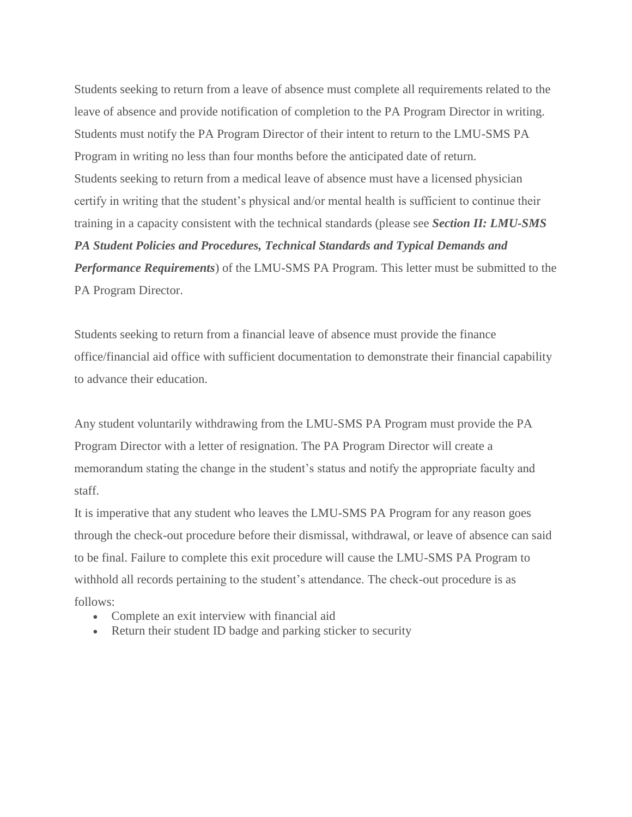Students seeking to return from a leave of absence must complete all requirements related to the leave of absence and provide notification of completion to the PA Program Director in writing. Students must notify the PA Program Director of their intent to return to the LMU-SMS PA Program in writing no less than four months before the anticipated date of return. Students seeking to return from a medical leave of absence must have a licensed physician certify in writing that the student's physical and/or mental health is sufficient to continue their training in a capacity consistent with the technical standards (please see *Section II: LMU-SMS PA Student Policies and Procedures, Technical Standards and Typical Demands and Performance Requirements*) of the LMU-SMS PA Program. This letter must be submitted to the PA Program Director.

Students seeking to return from a financial leave of absence must provide the finance office/financial aid office with sufficient documentation to demonstrate their financial capability to advance their education.

Any student voluntarily withdrawing from the LMU-SMS PA Program must provide the PA Program Director with a letter of resignation. The PA Program Director will create a memorandum stating the change in the student's status and notify the appropriate faculty and staff.

It is imperative that any student who leaves the LMU-SMS PA Program for any reason goes through the check-out procedure before their dismissal, withdrawal, or leave of absence can said to be final. Failure to complete this exit procedure will cause the LMU-SMS PA Program to withhold all records pertaining to the student's attendance. The check-out procedure is as follows:

- Complete an exit interview with financial aid
- Return their student ID badge and parking sticker to security